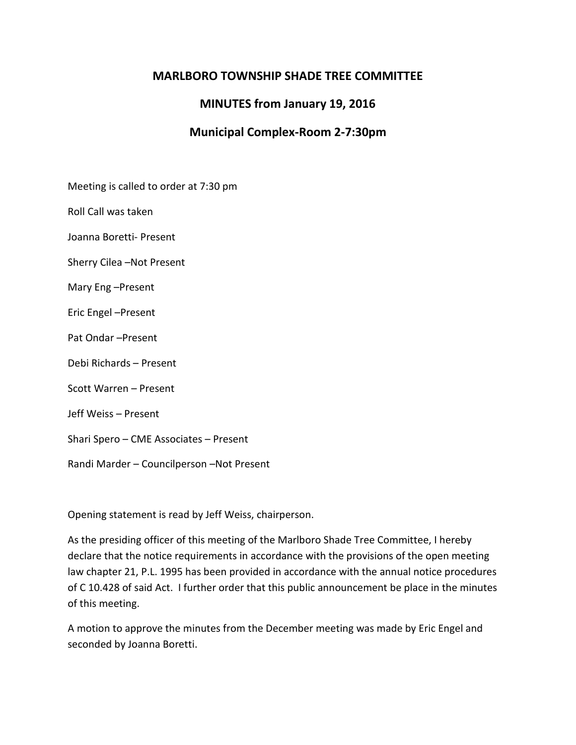# **MARLBORO TOWNSHIP SHADE TREE COMMITTEE**

# **MINUTES from January 19, 2016**

## **Municipal Complex-Room 2-7:30pm**

Meeting is called to order at 7:30 pm

Roll Call was taken

Joanna Boretti- Present

Sherry Cilea –Not Present

Mary Eng –Present

Eric Engel –Present

Pat Ondar –Present

Debi Richards – Present

Scott Warren – Present

Jeff Weiss – Present

Shari Spero – CME Associates – Present

Randi Marder – Councilperson –Not Present

Opening statement is read by Jeff Weiss, chairperson.

As the presiding officer of this meeting of the Marlboro Shade Tree Committee, I hereby declare that the notice requirements in accordance with the provisions of the open meeting law chapter 21, P.L. 1995 has been provided in accordance with the annual notice procedures of C 10.428 of said Act. I further order that this public announcement be place in the minutes of this meeting.

A motion to approve the minutes from the December meeting was made by Eric Engel and seconded by Joanna Boretti.